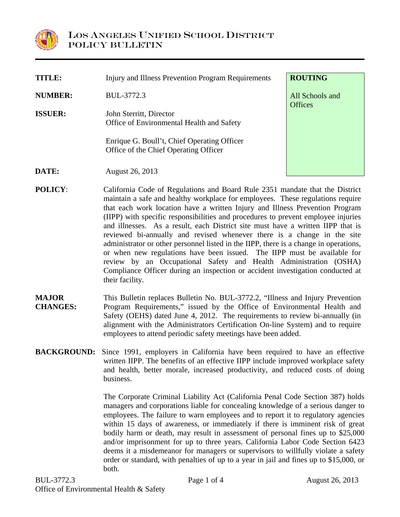

| TITLE:         | Injury and Illness Prevention Program Requirements                                   | <b>ROUTING</b>                    |
|----------------|--------------------------------------------------------------------------------------|-----------------------------------|
| <b>NUMBER:</b> | BUL-3772.3                                                                           | All Schools and<br><b>Offices</b> |
| <b>ISSUER:</b> | John Sterritt, Director<br>Office of Environmental Health and Safety                 |                                   |
|                | Enrique G. Boull't, Chief Operating Officer<br>Office of the Chief Operating Officer |                                   |
| DATE:          | August 26, 2013                                                                      |                                   |

- **POLICY**: California Code of Regulations and Board Rule 2351 mandate that the District maintain a safe and healthy workplace for employees. These regulations require that each work location have a written Injury and Illness Prevention Program (IIPP) with specific responsibilities and procedures to prevent employee injuries and illnesses. As a result, each District site must have a written IIPP that is reviewed bi-annually and revised whenever there is a change in the site administrator or other personnel listed in the IIPP, there is a change in operations, or when new regulations have been issued. The IIPP must be available for review by an Occupational Safety and Health Administration (OSHA) Compliance Officer during an inspection or accident investigation conducted at their facility.
- **MAJOR CHANGES:** This Bulletin replaces Bulletin No. BUL-3772.2, "Illness and Injury Prevention Program Requirements," issued by the Office of Environmental Health and Safety (OEHS) dated June 4, 2012. The requirements to review bi-annually (in alignment with the Administrators Certification On-line System) and to require employees to attend periodic safety meetings have been added.
- **BACKGROUND:** Since 1991, employers in California have been required to have an effective written IIPP. The benefits of an effective IIPP include improved workplace safety and health, better morale, increased productivity, and reduced costs of doing business.

The Corporate Criminal Liability Act (California Penal Code Section 387) holds managers and corporations liable for concealing knowledge of a serious danger to employees. The failure to warn employees and to report it to regulatory agencies within 15 days of awareness, or immediately if there is imminent risk of great bodily harm or death, may result in assessment of personal fines up to \$25,000 and/or imprisonment for up to three years. California Labor Code Section 6423 deems it a misdemeanor for managers or supervisors to willfully violate a safety order or standard, with penalties of up to a year in jail and fines up to \$15,000, or both.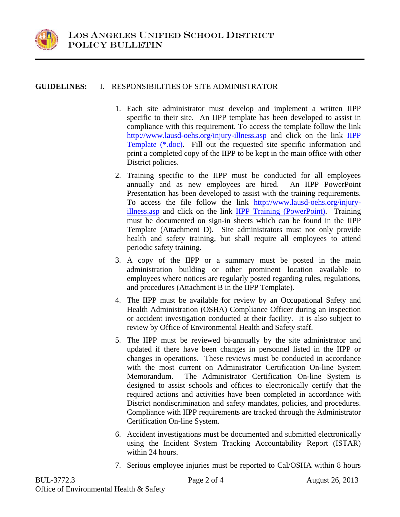

## **GUIDELINES:** I. RESPONSIBILITIES OF SITE ADMINISTRATOR

- 1. Each site administrator must develop and implement a written IIPP specific to their site. An IIPP template has been developed to assist in compliance with this requirement. To access the template follow the link http://www.lausd-oehs.org/injury-illness.asp and click on the link IIPP Template (\*.doc). Fill out the requested site specific information and print a completed copy of the IIPP to be kept in the main office with other District policies.
- 2. Training specific to the IIPP must be conducted for all employees annually and as new employees are hired. An IIPP PowerPoint Presentation has been developed to assist with the training requirements. To access the file follow the link http://www.lausd-oehs.org/injuryillness.asp and click on the link IIPP Training (PowerPoint). Training must be documented on sign-in sheets which can be found in the IIPP Template (Attachment D). Site administrators must not only provide health and safety training, but shall require all employees to attend periodic safety training.
- 3. A copy of the IIPP or a summary must be posted in the main administration building or other prominent location available to employees where notices are regularly posted regarding rules, regulations, and procedures (Attachment B in the IIPP Template).
- 4. The IIPP must be available for review by an Occupational Safety and Health Administration (OSHA) Compliance Officer during an inspection or accident investigation conducted at their facility. It is also subject to review by Office of Environmental Health and Safety staff.
- 5. The IIPP must be reviewed bi-annually by the site administrator and updated if there have been changes in personnel listed in the IIPP or changes in operations. These reviews must be conducted in accordance with the most current on Administrator Certification On-line System Memorandum. The Administrator Certification On-line System is designed to assist schools and offices to electronically certify that the required actions and activities have been completed in accordance with District nondiscrimination and safety mandates, policies, and procedures. Compliance with IIPP requirements are tracked through the Administrator Certification On-line System.
- 6. Accident investigations must be documented and submitted electronically using the Incident System Tracking Accountability Report (ISTAR) within 24 hours.
- 7. Serious employee injuries must be reported to Cal/OSHA within 8 hours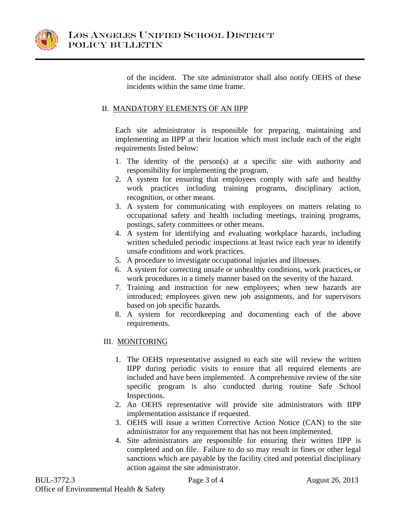

of the incident. The site administrator shall also notify OEHS of these incidents within the same time frame.

## II. MANDATORY ELEMENTS OF AN IIPP

Each site administrator is responsible for preparing, maintaining and implementing an IIPP at their location which must include each of the eight requirements listed below:

- 1. The identity of the person(s) at a specific site with authority and responsibility for implementing the program.
- 2. A system for ensuring that employees comply with safe and healthy work practices including training programs, disciplinary action, recognition, or other means.
- 3. A system for communicating with employees on matters relating to occupational safety and health including meetings, training programs, postings, safety committees or other means.
- 4. A system for identifying and evaluating workplace hazards, including written scheduled periodic inspections at least twice each year to identify unsafe conditions and work practices.
- 5. A procedure to investigate occupational injuries and illnesses.
- 6. A system for correcting unsafe or unhealthy conditions, work practices, or work procedures in a timely manner based on the severity of the hazard.
- 7. Training and instruction for new employees; when new hazards are introduced; employees given new job assignments, and for supervisors based on job specific hazards.
- 8. A system for recordkeeping and documenting each of the above requirements.

## III. MONITORING

- 1. The OEHS representative assigned to each site will review the written IIPP during periodic visits to ensure that all required elements are included and have been implemented. A comprehensive review of the site specific program is also conducted during routine Safe School Inspections.
- 2. An OEHS representative will provide site administrators with IIPP implementation assistance if requested.
- 3. OEHS will issue a written Corrective Action Notice (CAN) to the site administrator for any requirement that has not been implemented.
- 4. Site administrators are responsible for ensuring their written IIPP is completed and on file. Failure to do so may result in fines or other legal sanctions which are payable by the facility cited and potential disciplinary action against the site administrator.